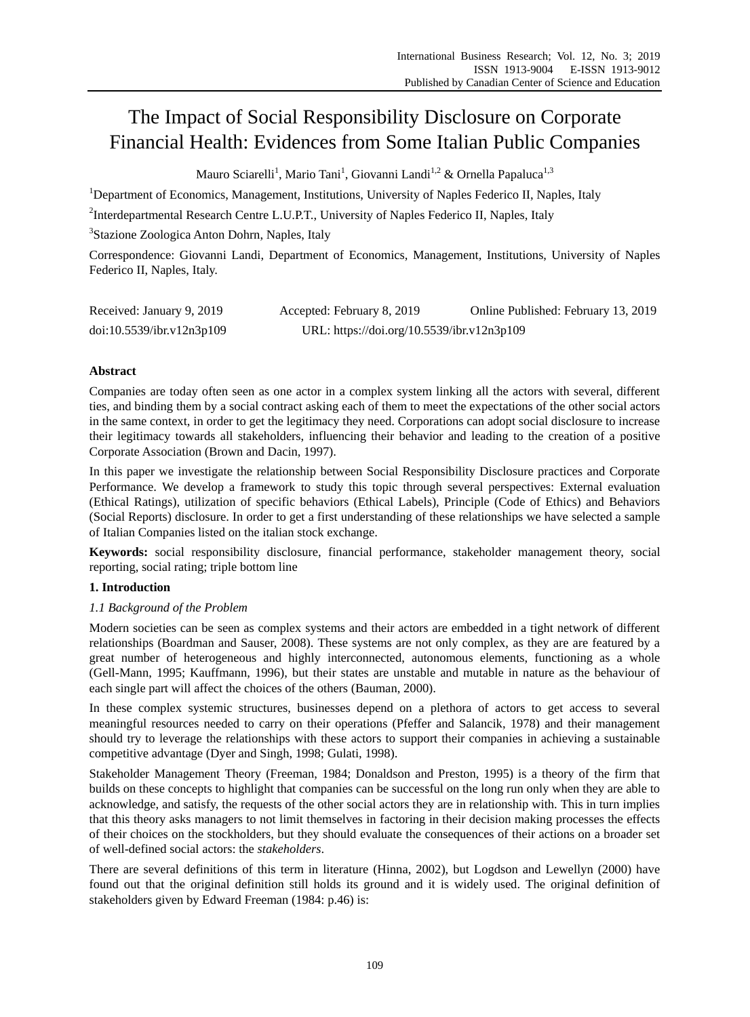# The Impact of Social Responsibility Disclosure on Corporate Financial Health: Evidences from Some Italian Public Companies

Mauro Sciarelli<sup>1</sup>, Mario Tani<sup>1</sup>, Giovanni Landi<sup>1,2</sup> & Ornella Papaluca<sup>1,3</sup>

<sup>1</sup>Department of Economics, Management, Institutions, University of Naples Federico II, Naples, Italy

<sup>2</sup>Interdepartmental Research Centre L.U.P.T., University of Naples Federico II, Naples, Italy

3 Stazione Zoologica Anton Dohrn, Naples, Italy

Correspondence: Giovanni Landi, Department of Economics, Management, Institutions, University of Naples Federico II, Naples, Italy.

| Received: January 9, 2019 | Accepted: February 8, 2019                 | Online Published: February 13, 2019 |
|---------------------------|--------------------------------------------|-------------------------------------|
| doi:10.5539/ibr.v12n3p109 | URL: https://doi.org/10.5539/ibr.v12n3p109 |                                     |

## **Abstract**

Companies are today often seen as one actor in a complex system linking all the actors with several, different ties, and binding them by a social contract asking each of them to meet the expectations of the other social actors in the same context, in order to get the legitimacy they need. Corporations can adopt social disclosure to increase their legitimacy towards all stakeholders, influencing their behavior and leading to the creation of a positive Corporate Association (Brown and Dacin, 1997).

In this paper we investigate the relationship between Social Responsibility Disclosure practices and Corporate Performance. We develop a framework to study this topic through several perspectives: External evaluation (Ethical Ratings), utilization of specific behaviors (Ethical Labels), Principle (Code of Ethics) and Behaviors (Social Reports) disclosure. In order to get a first understanding of these relationships we have selected a sample of Italian Companies listed on the italian stock exchange.

**Keywords:** social responsibility disclosure, financial performance, stakeholder management theory, social reporting, social rating; triple bottom line

## **1. Introduction**

## *1.1 Background of the Problem*

Modern societies can be seen as complex systems and their actors are embedded in a tight network of different relationships (Boardman and Sauser, 2008). These systems are not only complex, as they are are featured by a great number of heterogeneous and highly interconnected, autonomous elements, functioning as a whole (Gell-Mann, 1995; Kauffmann, 1996), but their states are unstable and mutable in nature as the behaviour of each single part will affect the choices of the others (Bauman, 2000).

In these complex systemic structures, businesses depend on a plethora of actors to get access to several meaningful resources needed to carry on their operations (Pfeffer and Salancik, 1978) and their management should try to leverage the relationships with these actors to support their companies in achieving a sustainable competitive advantage (Dyer and Singh, 1998; Gulati, 1998).

Stakeholder Management Theory (Freeman, 1984; Donaldson and Preston, 1995) is a theory of the firm that builds on these concepts to highlight that companies can be successful on the long run only when they are able to acknowledge, and satisfy, the requests of the other social actors they are in relationship with. This in turn implies that this theory asks managers to not limit themselves in factoring in their decision making processes the effects of their choices on the stockholders, but they should evaluate the consequences of their actions on a broader set of well-defined social actors: the *stakeholders*.

There are several definitions of this term in literature (Hinna, 2002), but Logdson and Lewellyn (2000) have found out that the original definition still holds its ground and it is widely used. The original definition of stakeholders given by Edward Freeman (1984: p.46) is: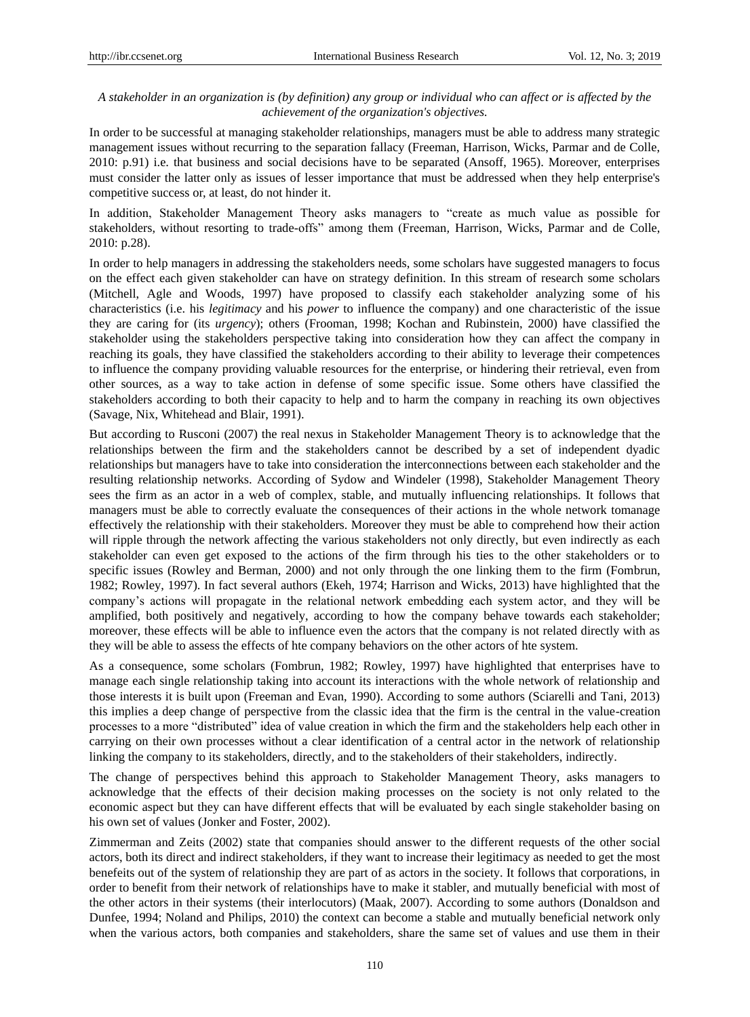## *A stakeholder in an organization is (by definition) any group or individual who can affect or is affected by the achievement of the organization's objectives.*

In order to be successful at managing stakeholder relationships, managers must be able to address many strategic management issues without recurring to the separation fallacy (Freeman, Harrison, Wicks, Parmar and de Colle, 2010: p.91) i.e. that business and social decisions have to be separated (Ansoff, 1965). Moreover, enterprises must consider the latter only as issues of lesser importance that must be addressed when they help enterprise's competitive success or, at least, do not hinder it.

In addition, Stakeholder Management Theory asks managers to "create as much value as possible for stakeholders, without resorting to trade-offs" among them (Freeman*,* Harrison, Wicks, Parmar and de Colle, 2010: p.28).

In order to help managers in addressing the stakeholders needs, some scholars have suggested managers to focus on the effect each given stakeholder can have on strategy definition. In this stream of research some scholars (Mitchell, Agle and Woods, 1997) have proposed to classify each stakeholder analyzing some of his characteristics (i.e. his *legitimacy* and his *power* to influence the company) and one characteristic of the issue they are caring for (its *urgency*); others (Frooman, 1998; Kochan and Rubinstein, 2000) have classified the stakeholder using the stakeholders perspective taking into consideration how they can affect the company in reaching its goals, they have classified the stakeholders according to their ability to leverage their competences to influence the company providing valuable resources for the enterprise, or hindering their retrieval, even from other sources, as a way to take action in defense of some specific issue. Some others have classified the stakeholders according to both their capacity to help and to harm the company in reaching its own objectives (Savage, Nix, Whitehead and Blair, 1991).

But according to Rusconi (2007) the real nexus in Stakeholder Management Theory is to acknowledge that the relationships between the firm and the stakeholders cannot be described by a set of independent dyadic relationships but managers have to take into consideration the interconnections between each stakeholder and the resulting relationship networks. According of Sydow and Windeler (1998), Stakeholder Management Theory sees the firm as an actor in a web of complex, stable, and mutually influencing relationships. It follows that managers must be able to correctly evaluate the consequences of their actions in the whole network tomanage effectively the relationship with their stakeholders. Moreover they must be able to comprehend how their action will ripple through the network affecting the various stakeholders not only directly, but even indirectly as each stakeholder can even get exposed to the actions of the firm through his ties to the other stakeholders or to specific issues (Rowley and Berman, 2000) and not only through the one linking them to the firm (Fombrun, 1982; Rowley, 1997). In fact several authors (Ekeh, 1974; Harrison and Wicks, 2013) have highlighted that the company's actions will propagate in the relational network embedding each system actor, and they will be amplified, both positively and negatively, according to how the company behave towards each stakeholder; moreover, these effects will be able to influence even the actors that the company is not related directly with as they will be able to assess the effects of hte company behaviors on the other actors of hte system.

As a consequence, some scholars (Fombrun, 1982; Rowley, 1997) have highlighted that enterprises have to manage each single relationship taking into account its interactions with the whole network of relationship and those interests it is built upon (Freeman and Evan, 1990). According to some authors (Sciarelli and Tani, 2013) this implies a deep change of perspective from the classic idea that the firm is the central in the value-creation processes to a more "distributed" idea of value creation in which the firm and the stakeholders help each other in carrying on their own processes without a clear identification of a central actor in the network of relationship linking the company to its stakeholders, directly, and to the stakeholders of their stakeholders, indirectly.

The change of perspectives behind this approach to Stakeholder Management Theory, asks managers to acknowledge that the effects of their decision making processes on the society is not only related to the economic aspect but they can have different effects that will be evaluated by each single stakeholder basing on his own set of values (Jonker and Foster, 2002).

Zimmerman and Zeits (2002) state that companies should answer to the different requests of the other social actors, both its direct and indirect stakeholders, if they want to increase their legitimacy as needed to get the most benefeits out of the system of relationship they are part of as actors in the society. It follows that corporations, in order to benefit from their network of relationships have to make it stabler, and mutually beneficial with most of the other actors in their systems (their interlocutors) (Maak, 2007). According to some authors (Donaldson and Dunfee, 1994; Noland and Philips, 2010) the context can become a stable and mutually beneficial network only when the various actors, both companies and stakeholders, share the same set of values and use them in their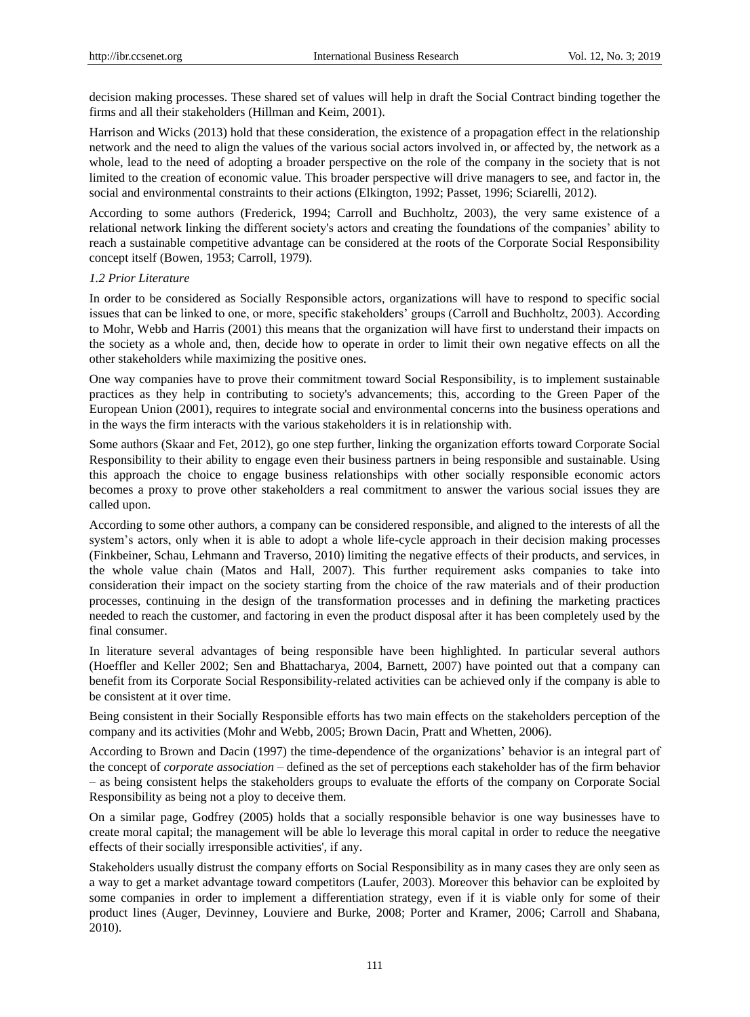decision making processes. These shared set of values will help in draft the Social Contract binding together the firms and all their stakeholders (Hillman and Keim, 2001).

Harrison and Wicks (2013) hold that these consideration, the existence of a propagation effect in the relationship network and the need to align the values of the various social actors involved in, or affected by, the network as a whole, lead to the need of adopting a broader perspective on the role of the company in the society that is not limited to the creation of economic value. This broader perspective will drive managers to see, and factor in, the social and environmental constraints to their actions (Elkington, 1992; Passet, 1996; Sciarelli, 2012).

According to some authors (Frederick, 1994; Carroll and Buchholtz, 2003), the very same existence of a relational network linking the different society's actors and creating the foundations of the companies' ability to reach a sustainable competitive advantage can be considered at the roots of the Corporate Social Responsibility concept itself (Bowen, 1953; Carroll, 1979).

## *1.2 Prior Literature*

In order to be considered as Socially Responsible actors, organizations will have to respond to specific social issues that can be linked to one, or more, specific stakeholders' groups (Carroll and Buchholtz, 2003). According to Mohr, Webb and Harris (2001) this means that the organization will have first to understand their impacts on the society as a whole and, then, decide how to operate in order to limit their own negative effects on all the other stakeholders while maximizing the positive ones.

One way companies have to prove their commitment toward Social Responsibility, is to implement sustainable practices as they help in contributing to society's advancements; this, according to the Green Paper of the European Union (2001), requires to integrate social and environmental concerns into the business operations and in the ways the firm interacts with the various stakeholders it is in relationship with.

Some authors (Skaar and Fet, 2012), go one step further, linking the organization efforts toward Corporate Social Responsibility to their ability to engage even their business partners in being responsible and sustainable. Using this approach the choice to engage business relationships with other socially responsible economic actors becomes a proxy to prove other stakeholders a real commitment to answer the various social issues they are called upon.

According to some other authors, a company can be considered responsible, and aligned to the interests of all the system's actors, only when it is able to adopt a whole life-cycle approach in their decision making processes (Finkbeiner, Schau, Lehmann and Traverso, 2010) limiting the negative effects of their products, and services, in the whole value chain (Matos and Hall, 2007). This further requirement asks companies to take into consideration their impact on the society starting from the choice of the raw materials and of their production processes, continuing in the design of the transformation processes and in defining the marketing practices needed to reach the customer, and factoring in even the product disposal after it has been completely used by the final consumer.

In literature several advantages of being responsible have been highlighted. In particular several authors (Hoeffler and Keller 2002; Sen and Bhattacharya, 2004, Barnett, 2007) have pointed out that a company can benefit from its Corporate Social Responsibility-related activities can be achieved only if the company is able to be consistent at it over time.

Being consistent in their Socially Responsible efforts has two main effects on the stakeholders perception of the company and its activities (Mohr and Webb, 2005; Brown Dacin, Pratt and Whetten, 2006).

According to Brown and Dacin (1997) the time-dependence of the organizations' behavior is an integral part of the concept of *corporate association* – defined as the set of perceptions each stakeholder has of the firm behavior – as being consistent helps the stakeholders groups to evaluate the efforts of the company on Corporate Social Responsibility as being not a ploy to deceive them.

On a similar page, Godfrey (2005) holds that a socially responsible behavior is one way businesses have to create moral capital; the management will be able lo leverage this moral capital in order to reduce the neegative effects of their socially irresponsible activities', if any.

Stakeholders usually distrust the company efforts on Social Responsibility as in many cases they are only seen as a way to get a market advantage toward competitors (Laufer, 2003). Moreover this behavior can be exploited by some companies in order to implement a differentiation strategy, even if it is viable only for some of their product lines (Auger, Devinney, Louviere and Burke, 2008; Porter and Kramer, 2006; Carroll and Shabana, 2010).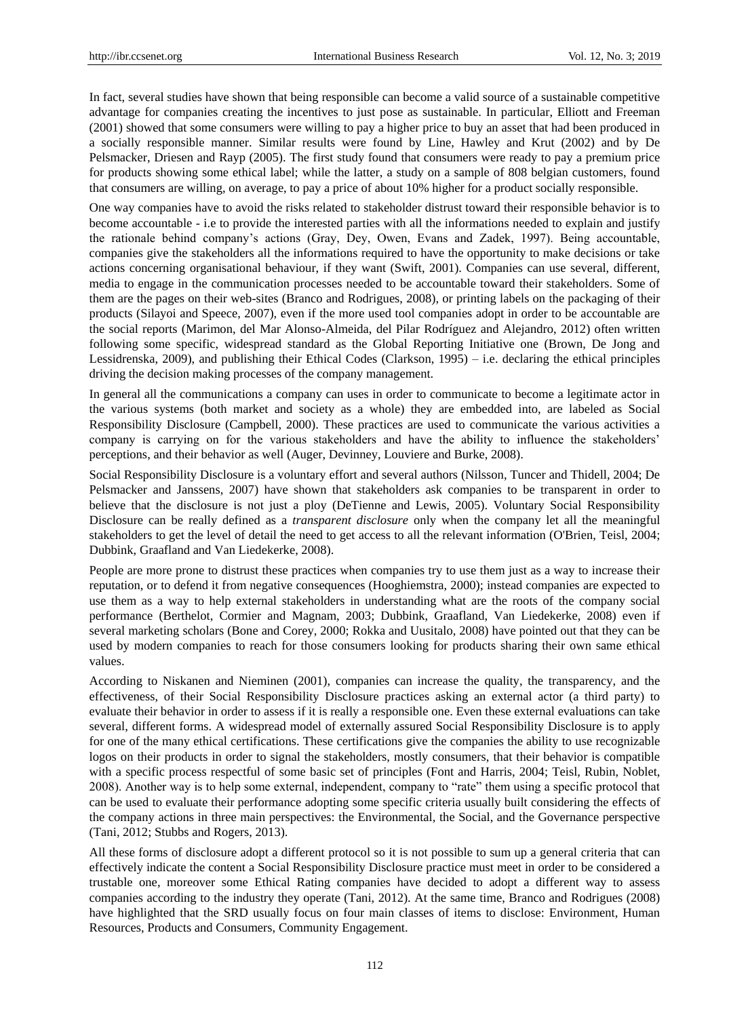In fact, several studies have shown that being responsible can become a valid source of a sustainable competitive advantage for companies creating the incentives to just pose as sustainable. In particular, Elliott and Freeman (2001) showed that some consumers were willing to pay a higher price to buy an asset that had been produced in a socially responsible manner. Similar results were found by Line, Hawley and Krut (2002) and by De Pelsmacker, Driesen and Rayp (2005). The first study found that consumers were ready to pay a premium price for products showing some ethical label; while the latter, a study on a sample of 808 belgian customers, found that consumers are willing, on average, to pay a price of about 10% higher for a product socially responsible.

One way companies have to avoid the risks related to stakeholder distrust toward their responsible behavior is to become accountable - i.e to provide the interested parties with all the informations needed to explain and justify the rationale behind company's actions (Gray, Dey, Owen, Evans and Zadek, 1997). Being accountable, companies give the stakeholders all the informations required to have the opportunity to make decisions or take actions concerning organisational behaviour, if they want (Swift, 2001). Companies can use several, different, media to engage in the communication processes needed to be accountable toward their stakeholders. Some of them are the pages on their web-sites (Branco and Rodrigues, 2008), or printing labels on the packaging of their products (Silayoi and Speece, 2007), even if the more used tool companies adopt in order to be accountable are the social reports (Marimon, del Mar Alonso-Almeida, del Pilar Rodríguez and Alejandro, 2012) often written following some specific, widespread standard as the Global Reporting Initiative one (Brown, De Jong and Lessidrenska, 2009), and publishing their Ethical Codes (Clarkson, 1995) – i.e. declaring the ethical principles driving the decision making processes of the company management.

In general all the communications a company can uses in order to communicate to become a legitimate actor in the various systems (both market and society as a whole) they are embedded into, are labeled as Social Responsibility Disclosure (Campbell, 2000). These practices are used to communicate the various activities a company is carrying on for the various stakeholders and have the ability to influence the stakeholders' perceptions, and their behavior as well (Auger, Devinney, Louviere and Burke, 2008).

Social Responsibility Disclosure is a voluntary effort and several authors (Nilsson, Tuncer and Thidell, 2004; De Pelsmacker and Janssens, 2007) have shown that stakeholders ask companies to be transparent in order to believe that the disclosure is not just a ploy (DeTienne and Lewis, 2005). Voluntary Social Responsibility Disclosure can be really defined as a *transparent disclosure* only when the company let all the meaningful stakeholders to get the level of detail the need to get access to all the relevant information (O'Brien, Teisl, 2004; Dubbink, Graafland and Van Liedekerke, 2008).

People are more prone to distrust these practices when companies try to use them just as a way to increase their reputation, or to defend it from negative consequences (Hooghiemstra, 2000); instead companies are expected to use them as a way to help external stakeholders in understanding what are the roots of the company social performance (Berthelot, Cormier and Magnam, 2003; Dubbink, Graafland, Van Liedekerke, 2008) even if several marketing scholars (Bone and Corey, 2000; Rokka and Uusitalo, 2008) have pointed out that they can be used by modern companies to reach for those consumers looking for products sharing their own same ethical values.

According to Niskanen and Nieminen (2001), companies can increase the quality, the transparency, and the effectiveness, of their Social Responsibility Disclosure practices asking an external actor (a third party) to evaluate their behavior in order to assess if it is really a responsible one. Even these external evaluations can take several, different forms. A widespread model of externally assured Social Responsibility Disclosure is to apply for one of the many ethical certifications. These certifications give the companies the ability to use recognizable logos on their products in order to signal the stakeholders, mostly consumers, that their behavior is compatible with a specific process respectful of some basic set of principles (Font and Harris, 2004; Teisl, Rubin, Noblet, 2008). Another way is to help some external, independent, company to "rate" them using a specific protocol that can be used to evaluate their performance adopting some specific criteria usually built considering the effects of the company actions in three main perspectives: the Environmental, the Social, and the Governance perspective (Tani, 2012; Stubbs and Rogers, 2013).

All these forms of disclosure adopt a different protocol so it is not possible to sum up a general criteria that can effectively indicate the content a Social Responsibility Disclosure practice must meet in order to be considered a trustable one, moreover some Ethical Rating companies have decided to adopt a different way to assess companies according to the industry they operate (Tani, 2012). At the same time, Branco and Rodrigues (2008) have highlighted that the SRD usually focus on four main classes of items to disclose: Environment, Human Resources, Products and Consumers, Community Engagement.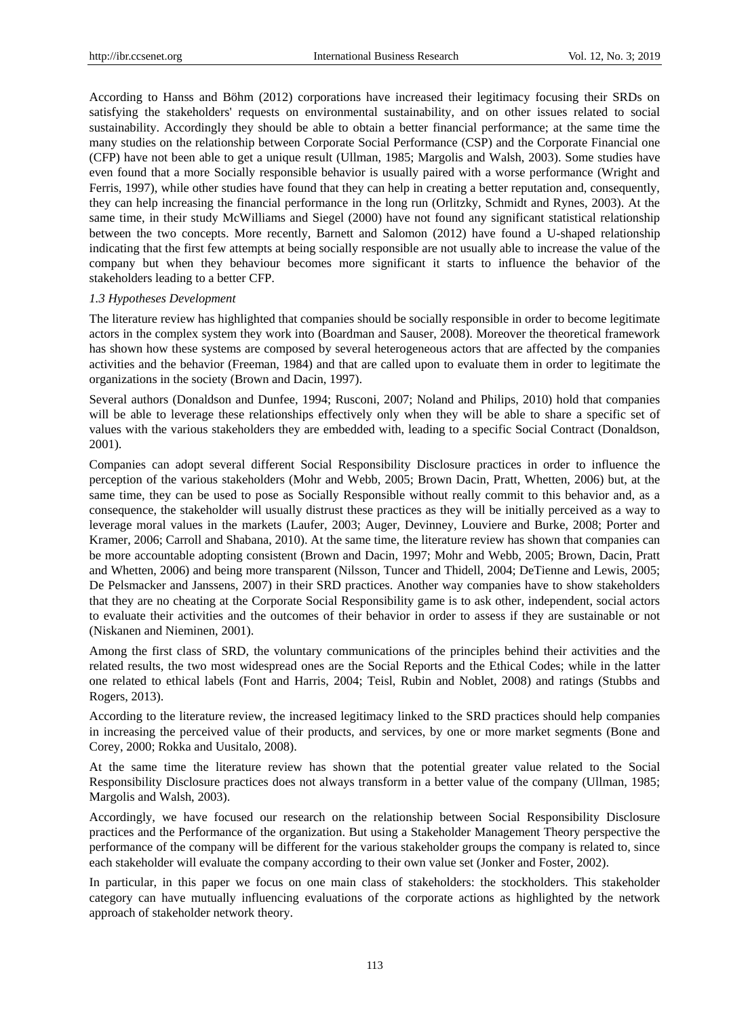According to Hanss and Böhm (2012) corporations have increased their legitimacy focusing their SRDs on satisfying the stakeholders' requests on environmental sustainability, and on other issues related to social sustainability. Accordingly they should be able to obtain a better financial performance; at the same time the many studies on the relationship between Corporate Social Performance (CSP) and the Corporate Financial one (CFP) have not been able to get a unique result (Ullman, 1985; Margolis and Walsh, 2003). Some studies have even found that a more Socially responsible behavior is usually paired with a worse performance (Wright and Ferris, 1997), while other studies have found that they can help in creating a better reputation and, consequently, they can help increasing the financial performance in the long run (Orlitzky, Schmidt and Rynes, 2003). At the same time, in their study McWilliams and Siegel (2000) have not found any significant statistical relationship between the two concepts. More recently, Barnett and Salomon (2012) have found a U-shaped relationship indicating that the first few attempts at being socially responsible are not usually able to increase the value of the company but when they behaviour becomes more significant it starts to influence the behavior of the stakeholders leading to a better CFP.

### *1.3 Hypotheses Development*

The literature review has highlighted that companies should be socially responsible in order to become legitimate actors in the complex system they work into (Boardman and Sauser, 2008). Moreover the theoretical framework has shown how these systems are composed by several heterogeneous actors that are affected by the companies activities and the behavior (Freeman, 1984) and that are called upon to evaluate them in order to legitimate the organizations in the society (Brown and Dacin, 1997).

Several authors (Donaldson and Dunfee, 1994; Rusconi, 2007; Noland and Philips, 2010) hold that companies will be able to leverage these relationships effectively only when they will be able to share a specific set of values with the various stakeholders they are embedded with, leading to a specific Social Contract (Donaldson, 2001).

Companies can adopt several different Social Responsibility Disclosure practices in order to influence the perception of the various stakeholders (Mohr and Webb, 2005; Brown Dacin, Pratt, Whetten, 2006) but, at the same time, they can be used to pose as Socially Responsible without really commit to this behavior and, as a consequence, the stakeholder will usually distrust these practices as they will be initially perceived as a way to leverage moral values in the markets (Laufer, 2003; Auger, Devinney, Louviere and Burke, 2008; Porter and Kramer, 2006; Carroll and Shabana, 2010). At the same time, the literature review has shown that companies can be more accountable adopting consistent (Brown and Dacin, 1997; Mohr and Webb, 2005; Brown, Dacin, Pratt and Whetten, 2006) and being more transparent (Nilsson, Tuncer and Thidell, 2004; DeTienne and Lewis, 2005; De Pelsmacker and Janssens, 2007) in their SRD practices. Another way companies have to show stakeholders that they are no cheating at the Corporate Social Responsibility game is to ask other, independent, social actors to evaluate their activities and the outcomes of their behavior in order to assess if they are sustainable or not (Niskanen and Nieminen, 2001).

Among the first class of SRD, the voluntary communications of the principles behind their activities and the related results, the two most widespread ones are the Social Reports and the Ethical Codes; while in the latter one related to ethical labels (Font and Harris, 2004; Teisl, Rubin and Noblet, 2008) and ratings (Stubbs and Rogers, 2013).

According to the literature review, the increased legitimacy linked to the SRD practices should help companies in increasing the perceived value of their products, and services, by one or more market segments (Bone and Corey, 2000; Rokka and Uusitalo, 2008).

At the same time the literature review has shown that the potential greater value related to the Social Responsibility Disclosure practices does not always transform in a better value of the company (Ullman, 1985; Margolis and Walsh, 2003).

Accordingly, we have focused our research on the relationship between Social Responsibility Disclosure practices and the Performance of the organization. But using a Stakeholder Management Theory perspective the performance of the company will be different for the various stakeholder groups the company is related to, since each stakeholder will evaluate the company according to their own value set (Jonker and Foster, 2002).

In particular, in this paper we focus on one main class of stakeholders: the stockholders. This stakeholder category can have mutually influencing evaluations of the corporate actions as highlighted by the network approach of stakeholder network theory.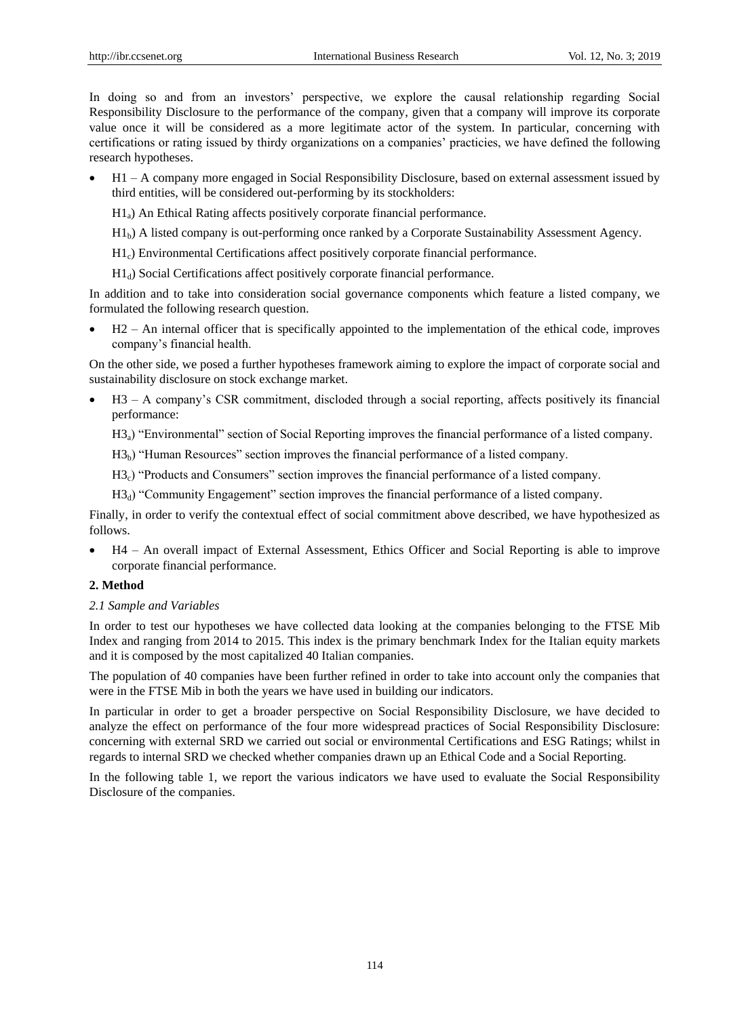In doing so and from an investors' perspective, we explore the causal relationship regarding Social Responsibility Disclosure to the performance of the company, given that a company will improve its corporate value once it will be considered as a more legitimate actor of the system. In particular, concerning with certifications or rating issued by thirdy organizations on a companies' practicies, we have defined the following research hypotheses.

 H1 – A company more engaged in Social Responsibility Disclosure, based on external assessment issued by third entities, will be considered out-performing by its stockholders:

H1a) An Ethical Rating affects positively corporate financial performance.

 $H_1$ <sup>b</sup>) A listed company is out-performing once ranked by a Corporate Sustainability Assessment Agency.

- H1c) Environmental Certifications affect positively corporate financial performance.
- H1d) Social Certifications affect positively corporate financial performance.

In addition and to take into consideration social governance components which feature a listed company, we formulated the following research question.

 H2 – An internal officer that is specifically appointed to the implementation of the ethical code, improves company's financial health.

On the other side, we posed a further hypotheses framework aiming to explore the impact of corporate social and sustainability disclosure on stock exchange market.

- H3 A company's CSR commitment, discloded through a social reporting, affects positively its financial performance:
	- H3a) "Environmental" section of Social Reporting improves the financial performance of a listed company.
	- $H3<sub>b</sub>$ ) "Human Resources" section improves the financial performance of a listed company.
	- H3c) "Products and Consumers" section improves the financial performance of a listed company.
	- $H3_d$ ) "Community Engagement" section improves the financial performance of a listed company.

Finally, in order to verify the contextual effect of social commitment above described, we have hypothesized as follows.

 H4 – An overall impact of External Assessment, Ethics Officer and Social Reporting is able to improve corporate financial performance.

#### **2. Method**

#### *2.1 Sample and Variables*

In order to test our hypotheses we have collected data looking at the companies belonging to the FTSE Mib Index and ranging from 2014 to 2015. This index is the primary benchmark Index for the Italian equity markets and it is composed by the most capitalized 40 Italian companies.

The population of 40 companies have been further refined in order to take into account only the companies that were in the FTSE Mib in both the years we have used in building our indicators.

In particular in order to get a broader perspective on Social Responsibility Disclosure, we have decided to analyze the effect on performance of the four more widespread practices of Social Responsibility Disclosure: concerning with external SRD we carried out social or environmental Certifications and ESG Ratings; whilst in regards to internal SRD we checked whether companies drawn up an Ethical Code and a Social Reporting.

In the following table 1, we report the various indicators we have used to evaluate the Social Responsibility Disclosure of the companies.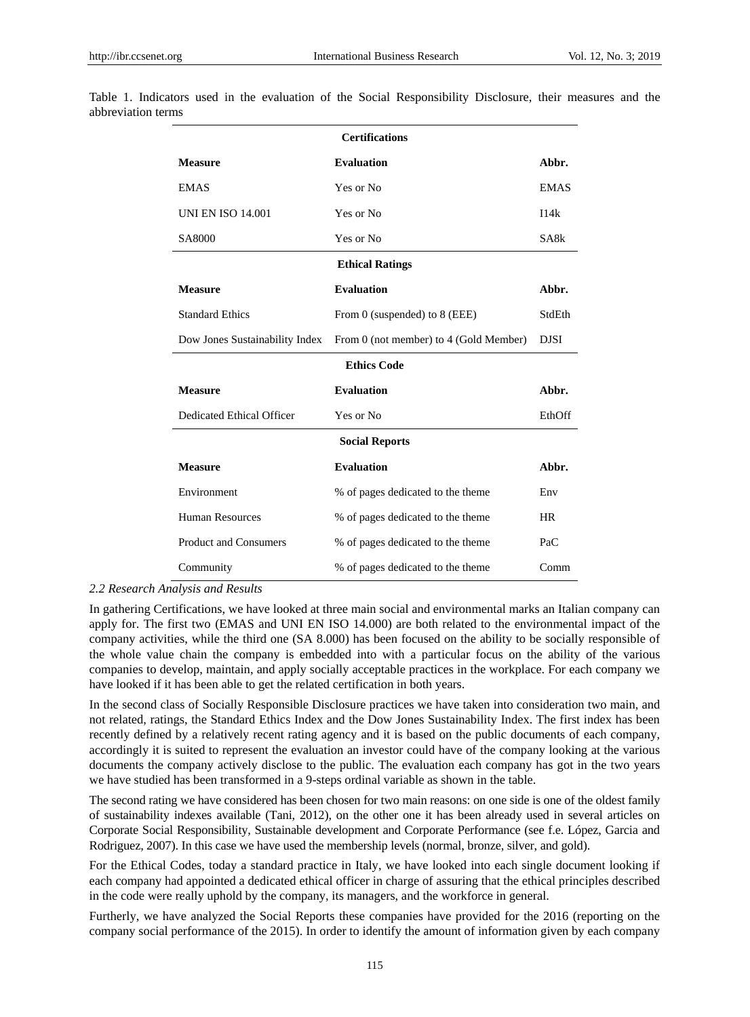| <b>Certifications</b>          |                                        |             |  |  |  |  |  |  |
|--------------------------------|----------------------------------------|-------------|--|--|--|--|--|--|
| <b>Measure</b>                 | <b>Evaluation</b>                      | Abbr.       |  |  |  |  |  |  |
| <b>EMAS</b>                    | Yes or No                              | <b>EMAS</b> |  |  |  |  |  |  |
| <b>UNI EN ISO 14.001</b>       | Yes or No                              | I14k        |  |  |  |  |  |  |
| SA8000                         | Yes or No                              | SA8k        |  |  |  |  |  |  |
| <b>Ethical Ratings</b>         |                                        |             |  |  |  |  |  |  |
| <b>Measure</b>                 | <b>Evaluation</b>                      | Abbr.       |  |  |  |  |  |  |
| <b>Standard Ethics</b>         | From $0$ (suspended) to $8$ (EEE)      | StdEth      |  |  |  |  |  |  |
| Dow Jones Sustainability Index | From 0 (not member) to 4 (Gold Member) | <b>DJSI</b> |  |  |  |  |  |  |
| <b>Ethics Code</b>             |                                        |             |  |  |  |  |  |  |
| <b>Measure</b>                 | <b>Evaluation</b>                      | Abbr.       |  |  |  |  |  |  |
| Dedicated Ethical Officer      | Yes or No                              | EthOff      |  |  |  |  |  |  |
| <b>Social Reports</b>          |                                        |             |  |  |  |  |  |  |
| <b>Measure</b>                 | <b>Evaluation</b>                      | Abbr.       |  |  |  |  |  |  |
| Environment                    | % of pages dedicated to the theme      | Env         |  |  |  |  |  |  |
| <b>Human Resources</b>         | % of pages dedicated to the theme      | <b>HR</b>   |  |  |  |  |  |  |
| <b>Product and Consumers</b>   | % of pages dedicated to the theme      | PaC         |  |  |  |  |  |  |
| Community                      |                                        | Comm        |  |  |  |  |  |  |

Table 1. Indicators used in the evaluation of the Social Responsibility Disclosure, their measures and the abbreviation terms

#### *2.2 Research Analysis and Results*

In gathering Certifications, we have looked at three main social and environmental marks an Italian company can apply for. The first two (EMAS and UNI EN ISO 14.000) are both related to the environmental impact of the company activities, while the third one (SA 8.000) has been focused on the ability to be socially responsible of the whole value chain the company is embedded into with a particular focus on the ability of the various companies to develop, maintain, and apply socially acceptable practices in the workplace. For each company we have looked if it has been able to get the related certification in both years.

In the second class of Socially Responsible Disclosure practices we have taken into consideration two main, and not related, ratings, the Standard Ethics Index and the Dow Jones Sustainability Index. The first index has been recently defined by a relatively recent rating agency and it is based on the public documents of each company, accordingly it is suited to represent the evaluation an investor could have of the company looking at the various documents the company actively disclose to the public. The evaluation each company has got in the two years we have studied has been transformed in a 9-steps ordinal variable as shown in the table.

The second rating we have considered has been chosen for two main reasons: on one side is one of the oldest family of sustainability indexes available (Tani, 2012), on the other one it has been already used in several articles on Corporate Social Responsibility, Sustainable development and Corporate Performance (see f.e. López, Garcia and Rodriguez, 2007). In this case we have used the membership levels (normal, bronze, silver, and gold).

For the Ethical Codes, today a standard practice in Italy, we have looked into each single document looking if each company had appointed a dedicated ethical officer in charge of assuring that the ethical principles described in the code were really uphold by the company, its managers, and the workforce in general.

Furtherly, we have analyzed the Social Reports these companies have provided for the 2016 (reporting on the company social performance of the 2015). In order to identify the amount of information given by each company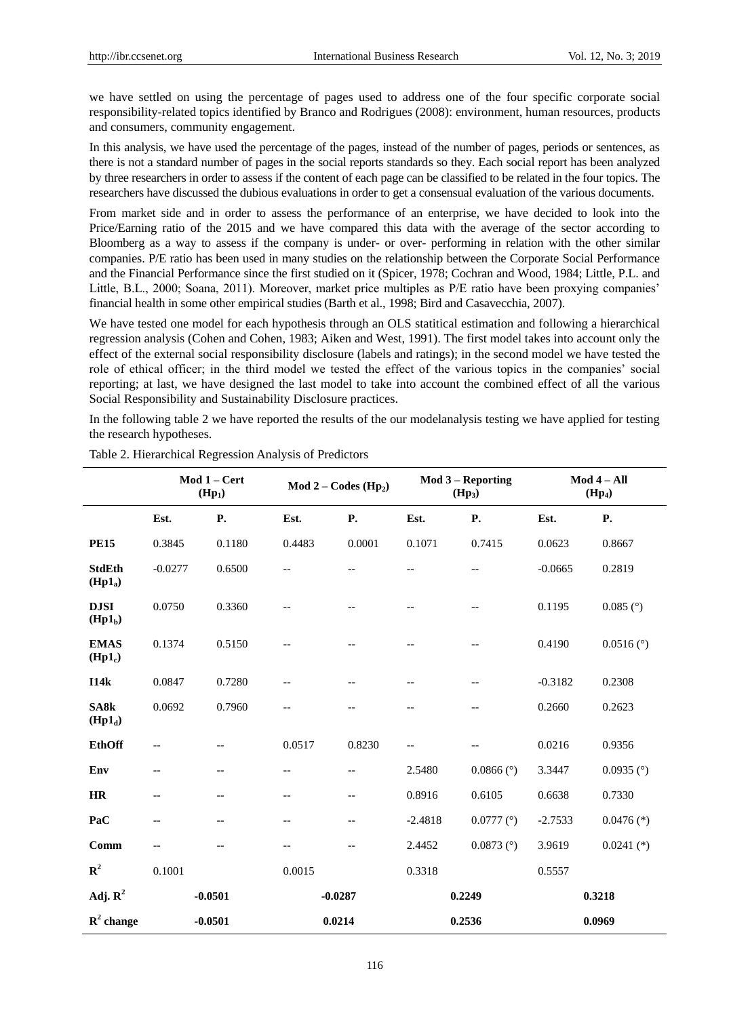we have settled on using the percentage of pages used to address one of the four specific corporate social responsibility-related topics identified by Branco and Rodrigues (2008): environment, human resources, products and consumers, community engagement.

In this analysis, we have used the percentage of the pages, instead of the number of pages, periods or sentences, as there is not a standard number of pages in the social reports standards so they. Each social report has been analyzed by three researchers in order to assess if the content of each page can be classified to be related in the four topics. The researchers have discussed the dubious evaluations in order to get a consensual evaluation of the various documents.

From market side and in order to assess the performance of an enterprise, we have decided to look into the Price/Earning ratio of the 2015 and we have compared this data with the average of the sector according to Bloomberg as a way to assess if the company is under- or over- performing in relation with the other similar companies. P/E ratio has been used in many studies on the relationship between the Corporate Social Performance and the Financial Performance since the first studied on it (Spicer, 1978; Cochran and Wood, 1984; Little, P.L. and Little, B.L., 2000; Soana, 2011). Moreover, market price multiples as P/E ratio have been proxying companies' financial health in some other empirical studies (Barth et al., 1998; Bird and Casavecchia, 2007).

We have tested one model for each hypothesis through an OLS statitical estimation and following a hierarchical regression analysis (Cohen and Cohen, 1983; Aiken and West, 1991). The first model takes into account only the effect of the external social responsibility disclosure (labels and ratings); in the second model we have tested the role of ethical officer; in the third model we tested the effect of the various topics in the companies' social reporting; at last, we have designed the last model to take into account the combined effect of all the various Social Responsibility and Sustainability Disclosure practices.

In the following table 2 we have reported the results of the our modelanalysis testing we have applied for testing the research hypotheses.

|                                      | Mod 1 - Cert<br>(Hp <sub>1</sub> ) |                          | $Mod 2 - Codes (Hp2)$ |                   | Mod 3 - Reporting<br>(Hp <sub>3</sub> ) |                        | $Mod 4 - All$<br>(Hp <sub>4</sub> ) |                        |
|--------------------------------------|------------------------------------|--------------------------|-----------------------|-------------------|-----------------------------------------|------------------------|-------------------------------------|------------------------|
|                                      | Est.                               | <b>P.</b>                | Est.                  | P.                | Est.                                    | <b>P.</b>              | Est.                                | <b>P.</b>              |
| <b>PE15</b>                          | 0.3845                             | 0.1180                   | 0.4483                | 0.0001            | 0.1071                                  | 0.7415                 | 0.0623                              | 0.8667                 |
| <b>StdEth</b><br>(Hp1 <sub>a</sub> ) | $-0.0277$                          | 0.6500                   | $-$                   | $\qquad \qquad -$ | --                                      | --                     | $-0.0665$                           | 0.2819                 |
| <b>DJSI</b><br>$(Hp1_b)$             | 0.0750                             | 0.3360                   |                       |                   |                                         | $-$                    | 0.1195                              | $0.085$ ( $\degree$ )  |
| <b>EMAS</b><br>$(Hp1_c)$             | 0.1374                             | 0.5150                   |                       |                   |                                         |                        | 0.4190                              | $0.0516$ ( $\degree$ ) |
| I14k                                 | 0.0847                             | 0.7280                   |                       | --                |                                         |                        | $-0.3182$                           | 0.2308                 |
| SA8k<br>$(Hp1_d)$                    | 0.0692                             | 0.7960                   |                       |                   |                                         |                        | 0.2660                              | 0.2623                 |
| <b>EthOff</b>                        |                                    |                          | 0.0517                | 0.8230            |                                         |                        | 0.0216                              | 0.9356                 |
| Env                                  | $\qquad \qquad -$                  | $\qquad \qquad -$        | $-$                   |                   | 2.5480                                  | $0.0866$ ( $\degree$ ) | 3.3447                              | $0.0935$ ( $\degree$ ) |
| HR                                   | $\overline{\phantom{m}}$           | $\overline{\phantom{a}}$ | $-$                   | $-\, -$           | 0.8916                                  | 0.6105                 | 0.6638                              | 0.7330                 |
| PaC                                  | $-$                                | $-$                      | $-$                   | $-$               | $-2.4818$                               | $0.0777$ ( $\degree$ ) | $-2.7533$                           | $0.0476$ (*)           |
| Comm                                 | $-$                                | $-$                      | $-$                   | $-$               | 2.4452                                  | $0.0873$ ( $\degree$ ) | 3.9619                              | $0.0241$ (*)           |
| $\mathbb{R}^2$                       | 0.1001                             |                          | 0.0015                |                   | 0.3318                                  |                        | 0.5557                              |                        |
| Adj. $R^2$                           | $-0.0501$                          |                          | $-0.0287$             |                   | 0.2249                                  |                        | 0.3218                              |                        |
| $\mathbf{R}^2$ change                | $-0.0501$                          |                          | 0.0214                |                   | 0.2536                                  |                        | 0.0969                              |                        |

Table 2. Hierarchical Regression Analysis of Predictors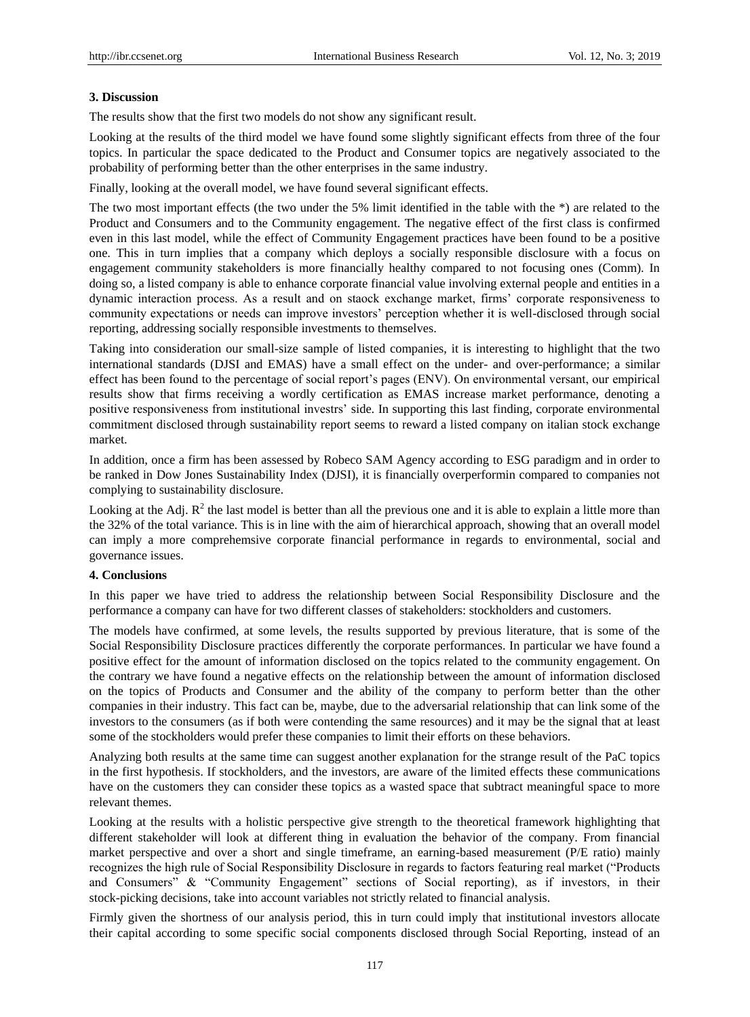#### **3. Discussion**

The results show that the first two models do not show any significant result.

Looking at the results of the third model we have found some slightly significant effects from three of the four topics. In particular the space dedicated to the Product and Consumer topics are negatively associated to the probability of performing better than the other enterprises in the same industry.

Finally, looking at the overall model, we have found several significant effects.

The two most important effects (the two under the 5% limit identified in the table with the \*) are related to the Product and Consumers and to the Community engagement. The negative effect of the first class is confirmed even in this last model, while the effect of Community Engagement practices have been found to be a positive one. This in turn implies that a company which deploys a socially responsible disclosure with a focus on engagement community stakeholders is more financially healthy compared to not focusing ones (Comm). In doing so, a listed company is able to enhance corporate financial value involving external people and entities in a dynamic interaction process. As a result and on staock exchange market, firms' corporate responsiveness to community expectations or needs can improve investors' perception whether it is well-disclosed through social reporting, addressing socially responsible investments to themselves.

Taking into consideration our small-size sample of listed companies, it is interesting to highlight that the two international standards (DJSI and EMAS) have a small effect on the under- and over-performance; a similar effect has been found to the percentage of social report's pages (ENV). On environmental versant, our empirical results show that firms receiving a wordly certification as EMAS increase market performance, denoting a positive responsiveness from institutional investrs' side. In supporting this last finding, corporate environmental commitment disclosed through sustainability report seems to reward a listed company on italian stock exchange market.

In addition, once a firm has been assessed by Robeco SAM Agency according to ESG paradigm and in order to be ranked in Dow Jones Sustainability Index (DJSI), it is financially overperformin compared to companies not complying to sustainability disclosure.

Looking at the Adj.  $R^2$  the last model is better than all the previous one and it is able to explain a little more than the 32% of the total variance. This is in line with the aim of hierarchical approach, showing that an overall model can imply a more comprehemsive corporate financial performance in regards to environmental, social and governance issues.

#### **4. Conclusions**

In this paper we have tried to address the relationship between Social Responsibility Disclosure and the performance a company can have for two different classes of stakeholders: stockholders and customers.

The models have confirmed, at some levels, the results supported by previous literature, that is some of the Social Responsibility Disclosure practices differently the corporate performances. In particular we have found a positive effect for the amount of information disclosed on the topics related to the community engagement. On the contrary we have found a negative effects on the relationship between the amount of information disclosed on the topics of Products and Consumer and the ability of the company to perform better than the other companies in their industry. This fact can be, maybe, due to the adversarial relationship that can link some of the investors to the consumers (as if both were contending the same resources) and it may be the signal that at least some of the stockholders would prefer these companies to limit their efforts on these behaviors.

Analyzing both results at the same time can suggest another explanation for the strange result of the PaC topics in the first hypothesis. If stockholders, and the investors, are aware of the limited effects these communications have on the customers they can consider these topics as a wasted space that subtract meaningful space to more relevant themes.

Looking at the results with a holistic perspective give strength to the theoretical framework highlighting that different stakeholder will look at different thing in evaluation the behavior of the company. From financial market perspective and over a short and single timeframe, an earning-based measurement (P/E ratio) mainly recognizes the high rule of Social Responsibility Disclosure in regards to factors featuring real market ("Products and Consumers" & "Community Engagement" sections of Social reporting), as if investors, in their stock-picking decisions, take into account variables not strictly related to financial analysis.

Firmly given the shortness of our analysis period, this in turn could imply that institutional investors allocate their capital according to some specific social components disclosed through Social Reporting, instead of an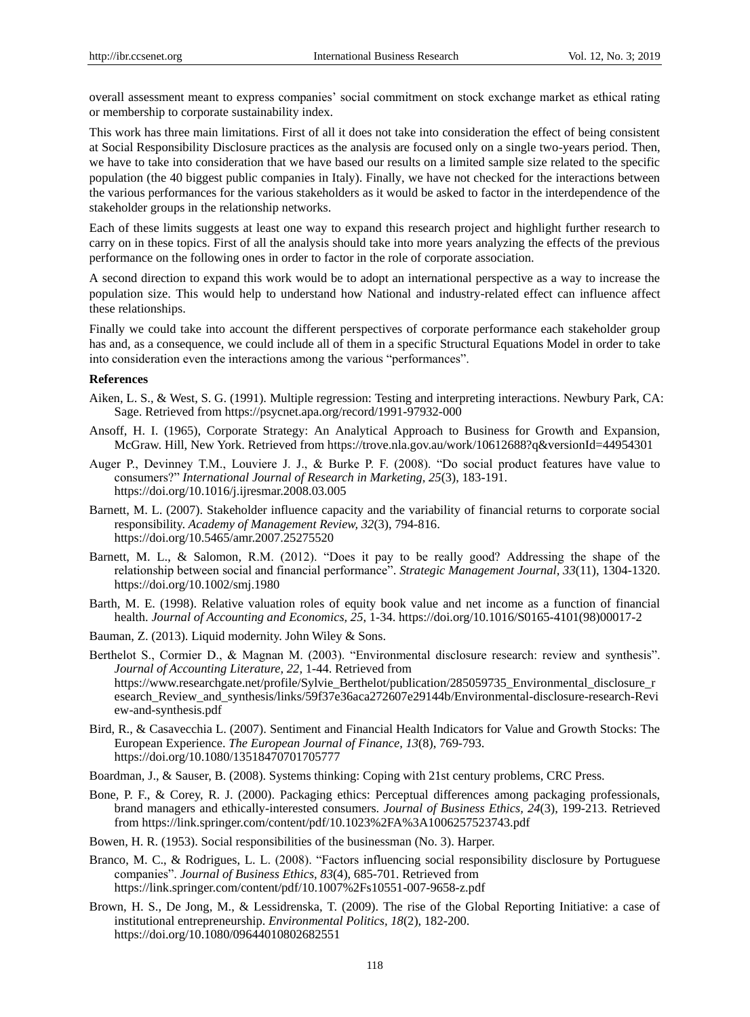overall assessment meant to express companies' social commitment on stock exchange market as ethical rating or membership to corporate sustainability index.

This work has three main limitations. First of all it does not take into consideration the effect of being consistent at Social Responsibility Disclosure practices as the analysis are focused only on a single two-years period. Then, we have to take into consideration that we have based our results on a limited sample size related to the specific population (the 40 biggest public companies in Italy). Finally, we have not checked for the interactions between the various performances for the various stakeholders as it would be asked to factor in the interdependence of the stakeholder groups in the relationship networks.

Each of these limits suggests at least one way to expand this research project and highlight further research to carry on in these topics. First of all the analysis should take into more years analyzing the effects of the previous performance on the following ones in order to factor in the role of corporate association.

A second direction to expand this work would be to adopt an international perspective as a way to increase the population size. This would help to understand how National and industry-related effect can influence affect these relationships.

Finally we could take into account the different perspectives of corporate performance each stakeholder group has and, as a consequence, we could include all of them in a specific Structural Equations Model in order to take into consideration even the interactions among the various "performances".

#### **References**

- Aiken, L. S., & West, S. G. (1991). Multiple regression: Testing and interpreting interactions. Newbury Park, CA: Sage. Retrieved fro[m https://psycnet.apa.org/record/1991-97932-000](https://psycnet.apa.org/record/1991-97932-000)
- Ansoff, H. I. (1965), Corporate Strategy: An Analytical Approach to Business for Growth and Expansion, McGraw. Hill, New York. Retrieved from<https://trove.nla.gov.au/work/10612688?q&versionId=44954301>
- Auger P., Devinney T.M., Louviere J. J., & Burke P. F. (2008). "Do social product features have value to consumers?" *International Journal of Research in Marketing, 25*(3), 183-191. <https://doi.org/10.1016/j.ijresmar.2008.03.005>
- Barnett, M. L. (2007). Stakeholder influence capacity and the variability of financial returns to corporate social responsibility. *Academy of Management Review, 32*(3), 794-816. <https://doi.org/10.5465/amr.2007.25275520>
- Barnett, M. L., & Salomon, R.M. (2012). "Does it pay to be really good? Addressing the shape of the relationship between social and financial performance". *Strategic Management Journal, 33*(11), 1304-1320. <https://doi.org/10.1002/smj.1980>
- Barth, M. E. (1998). Relative valuation roles of equity book value and net income as a function of financial health. *Journal of Accounting and Economics, 25*, 1-34. [https://doi.org/10.1016/S0165-4101\(98\)00017-2](https://doi.org/10.1016/S0165-4101(98)00017-2)
- Bauman, Z. (2013). Liquid modernity. John Wiley & Sons.
- Berthelot S., Cormier D., & Magnan M. (2003). "Environmental disclosure research: review and synthesis". *Journal of Accounting Literature, 22,* 1-44. Retrieved from https://www.researchgate.net/profile/Sylvie\_Berthelot/publication/285059735\_Environmental\_disclosure\_r esearch\_Review\_and\_synthesis/links/59f37e36aca272607e29144b/Environmental-disclosure-research-Revi ew-and-synthesis.pdf
- Bird, R., & Casavecchia L. (2007). Sentiment and Financial Health Indicators for Value and Growth Stocks: The European Experience. *The European Journal of Finance, 13*(8), 769-793. <https://doi.org/10.1080/13518470701705777>
- Boardman, J., & Sauser, B. (2008). Systems thinking: Coping with 21st century problems, CRC Press.
- Bone, P. F., & Corey, R. J. (2000). Packaging ethics: Perceptual differences among packaging professionals, brand managers and ethically-interested consumers. *Journal of Business Ethics, 24*(3), 199-213. Retrieved from https://link.springer.com/content/pdf/10.1023%2FA%3A1006257523743.pdf
- Bowen, H. R. (1953). Social responsibilities of the businessman (No. 3). Harper.
- Branco, M. C., & Rodrigues, L. L. (2008). "Factors influencing social responsibility disclosure by Portuguese companies". *Journal of Business Ethics, 83*(4), 685-701. Retrieved from <https://link.springer.com/content/pdf/10.1007%2Fs10551-007-9658-z.pdf>
- Brown, H. S., De Jong, M., & Lessidrenska, T. (2009). The rise of the Global Reporting Initiative: a case of institutional entrepreneurship. *Environmental Politics, 18*(2), 182-200. <https://doi.org/10.1080/09644010802682551>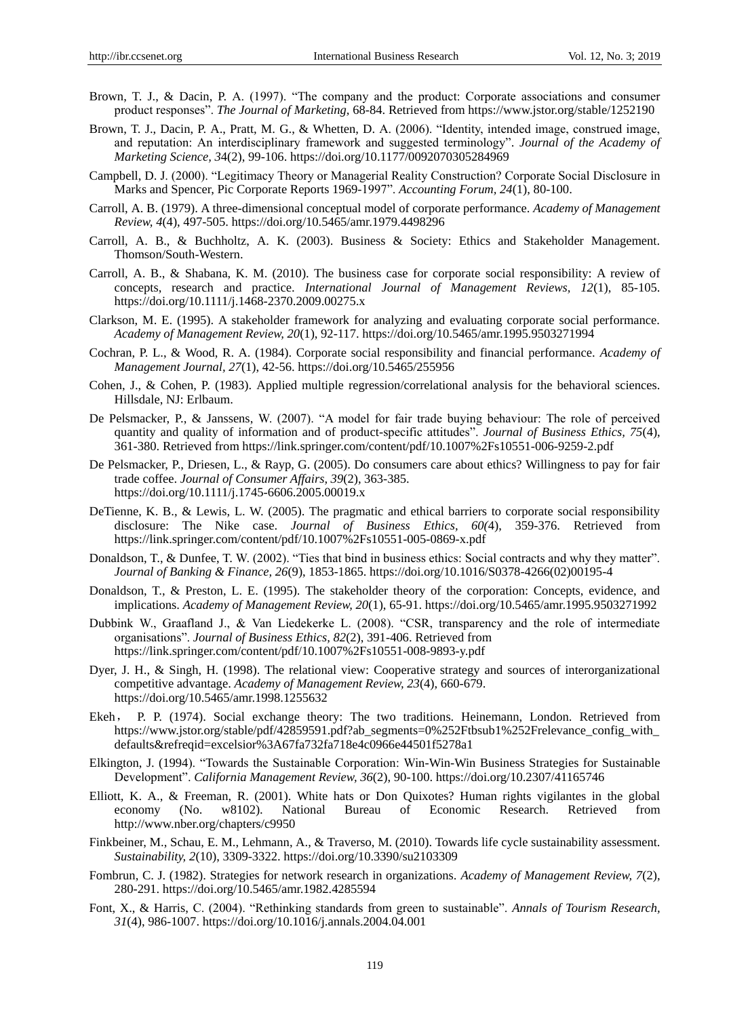- Brown, T. J., & Dacin, P. A. (1997). "The company and the product: Corporate associations and consumer product responses". *The Journal of Marketing,* 68-84. Retrieved from<https://www.jstor.org/stable/1252190>
- Brown, T. J., Dacin, P. A., Pratt, M. G., & Whetten, D. A. (2006). "Identity, intended image, construed image, and reputation: An interdisciplinary framework and suggested terminology". *Journal of the Academy of Marketing Science, 3*4(2), 99-106. [https://doi.org/10.1177/0092070305284969](https://doi.org/10.1177%2F0092070305284969)
- Campbell, D. J. (2000). "Legitimacy Theory or Managerial Reality Construction? Corporate Social Disclosure in Marks and Spencer, Pic Corporate Reports 1969-1997". *Accounting Forum, 24*(1), 80-100.
- Carroll, A. B. (1979). A three-dimensional conceptual model of corporate performance. *Academy of Management Review, 4*(4), 497-505. <https://doi.org/10.5465/amr.1979.4498296>
- Carroll, A. B., & Buchholtz, A. K. (2003). Business & Society: Ethics and Stakeholder Management. Thomson/South-Western.
- Carroll, A. B., & Shabana, K. M. (2010). The business case for corporate social responsibility: A review of concepts, research and practice. *International Journal of Management Reviews, 12*(1), 85-105. <https://doi.org/10.1111/j.1468-2370.2009.00275.x>
- Clarkson, M. E. (1995). A stakeholder framework for analyzing and evaluating corporate social performance. *Academy of Management Review, 20*(1), 92-117. <https://doi.org/10.5465/amr.1995.9503271994>
- Cochran, P. L., & Wood, R. A. (1984). Corporate social responsibility and financial performance. *Academy of Management Journal, 27*(1), 42-56. <https://doi.org/10.5465/255956>
- Cohen, J., & Cohen, P. (1983). Applied multiple regression/correlational analysis for the behavioral sciences. Hillsdale, NJ: Erlbaum.
- De Pelsmacker, P., & Janssens, W. (2007). "A model for fair trade buying behaviour: The role of perceived quantity and quality of information and of product-specific attitudes". *Journal of Business Ethics, 75*(4), 361-380. Retrieved fro[m https://link.springer.com/content/pdf/10.1007%2Fs10551-006-9259-2.pdf](https://link.springer.com/content/pdf/10.1007%2Fs10551-006-9259-2.pdf)
- De Pelsmacker, P., Driesen, L., & Rayp, G. (2005). Do consumers care about ethics? Willingness to pay for fair trade coffee. *Journal of Consumer Affairs, 39*(2), 363-385. <https://doi.org/10.1111/j.1745-6606.2005.00019.x>
- DeTienne, K. B., & Lewis, L. W. (2005). The pragmatic and ethical barriers to corporate social responsibility disclosure: The Nike case. *Journal of Business Ethics, 60(*4), 359-376. Retrieved from https://link.springer.com/content/pdf/10.1007%2Fs10551-005-0869-x.pdf
- Donaldson, T., & Dunfee, T. W. (2002). "Ties that bind in business ethics: Social contracts and why they matter". *Journal of Banking & Finance, 26*(9), 1853-1865. [https://doi.org/10.1016/S0378-4266\(02\)00195-4](https://doi.org/10.1016/S0378-4266(02)00195-4)
- Donaldson, T., & Preston, L. E. (1995). The stakeholder theory of the corporation: Concepts, evidence, and implications. *Academy of Management Review, 20*(1), 65-91. <https://doi.org/10.5465/amr.1995.9503271992>
- Dubbink W., Graafland J., & Van Liedekerke L. (2008). "CSR, transparency and the role of intermediate organisations". *Journal of Business Ethics, 82*(2), 391-406. Retrieved from https://link.springer.com/content/pdf/10.1007%2Fs10551-008-9893-y.pdf
- Dyer, J. H., & Singh, H. (1998). The relational view: Cooperative strategy and sources of interorganizational competitive advantage. *Academy of Management Review, 23*(4), 660-679. <https://doi.org/10.5465/amr.1998.1255632>
- Ekeh, P. P. (1974). Social exchange theory: The two traditions. Heinemann, London. Retrieved from https://www.jstor.org/stable/pdf/42859591.pdf?ab\_segments=0%252Ftbsub1%252Frelevance\_config\_with defaults&refreqid=excelsior%3A67fa732fa718e4c0966e44501f5278a1
- Elkington, J. (1994). "Towards the Sustainable Corporation: Win-Win-Win Business Strategies for Sustainable Development". *California Management Review, 36*(2), 90-100. [https://doi.org/10.2307/41165746](https://doi.org/10.2307%2F41165746)
- Elliott, K. A., & Freeman, R. (2001). White hats or Don Quixotes? Human rights vigilantes in the global economy (No. w8102). National Bureau of Economic Research. Retrieved from http://www.nber.org/chapters/c9950
- Finkbeiner, M., Schau, E. M., Lehmann, A., & Traverso, M. (2010). Towards life cycle sustainability assessment. *Sustainability, 2*(10), 3309-3322. <https://doi.org/10.3390/su2103309>
- Fombrun, C. J. (1982). Strategies for network research in organizations. *Academy of Management Review, 7*(2), 280-291. <https://doi.org/10.5465/amr.1982.4285594>
- Font, X., & Harris, C. (2004). "Rethinking standards from green to sustainable". *Annals of Tourism Research, 31*(4), 986-1007. <https://doi.org/10.1016/j.annals.2004.04.001>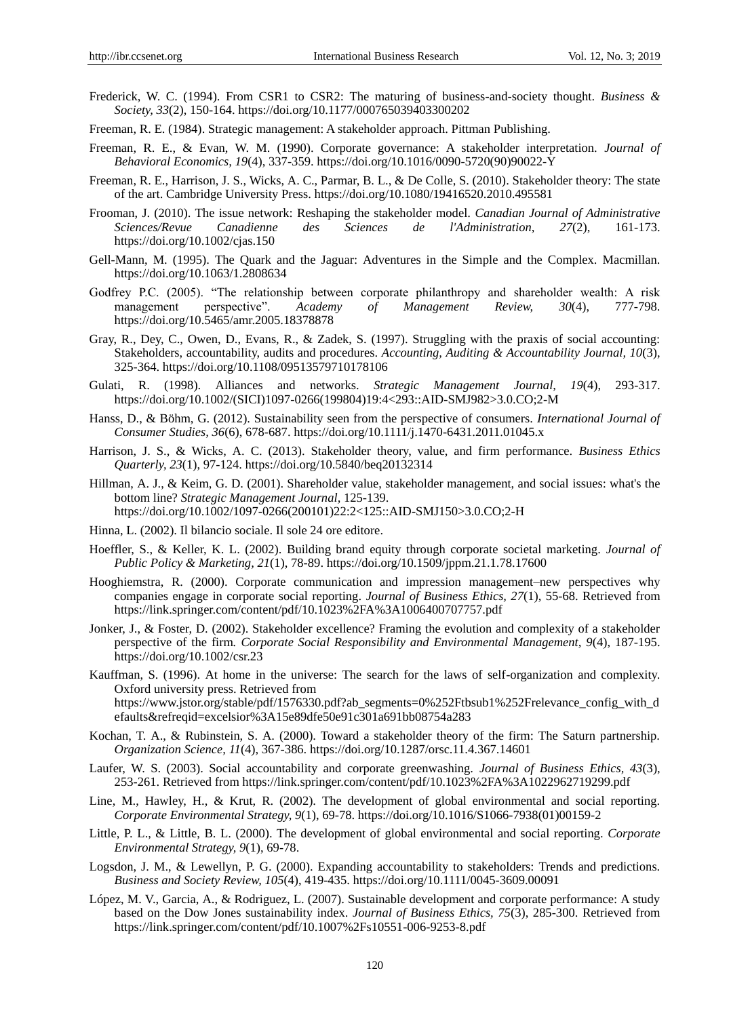- Frederick, W. C. (1994). From CSR1 to CSR2: The maturing of business-and-society thought. *Business & Society, 33*(2), 150-164. [https://doi.org/10.1177/000765039403300202](https://doi.org/10.1177%2F000765039403300202)
- Freeman, R. E. (1984). Strategic management: A stakeholder approach. Pittman Publishing.
- Freeman, R. E., & Evan, W. M. (1990). Corporate governance: A stakeholder interpretation. *Journal of Behavioral Economics, 19*(4), 337-359. [https://doi.org/10.1016/0090-5720\(90\)90022-Y](https://doi.org/10.1016/0090-5720(90)90022-Y)
- Freeman, R. E., Harrison, J. S., Wicks, A. C., Parmar, B. L., & De Colle, S. (2010). Stakeholder theory: The state of the art. Cambridge University Press. <https://doi.org/10.1080/19416520.2010.495581>
- Frooman, J. (2010). The issue network: Reshaping the stakeholder model. *Canadian Journal of Administrative des* Sciences de l'Administration, 27(2), 161-173. <https://doi.org/10.1002/cjas.150>
- Gell-Mann, M. (1995). The Quark and the Jaguar: Adventures in the Simple and the Complex. Macmillan. <https://doi.org/10.1063/1.2808634>
- Godfrey P.C. (2005). "The relationship between corporate philanthropy and shareholder wealth: A risk management perspective". Academy of Management Review, 30(4), 777-798. management perspective". *Academy of Management* <https://doi.org/10.5465/amr.2005.18378878>
- Gray, R., Dey, C., Owen, D., Evans, R., & Zadek, S. (1997). Struggling with the praxis of social accounting: Stakeholders, accountability, audits and procedures. *Accounting, Auditing & Accountability Journal, 10*(3), 325-364. https://doi.org/10.1108/09513579710178106
- Gulati, R. (1998). Alliances and networks. *Strategic Management Journal, 19*(4), 293-317. [https://doi.org/10.1002/\(SICI\)1097-0266\(199804\)19:4<293::AID-SMJ982>3.0.CO;2-M](https://doi.org/10.1002/(SICI)1097-0266(199804)19:4%3C293::AID-SMJ982%3E3.0.CO;2-M)
- Hanss, D., & Böhm, G. (2012). Sustainability seen from the perspective of consumers. *International Journal of Consumer Studies, 36*(6), 678-687. <https://doi.org/10.1111/j.1470-6431.2011.01045.x>
- Harrison, J. S., & Wicks, A. C. (2013). Stakeholder theory, value, and firm performance. *Business Ethics Quarterly, 23*(1), 97-124. <https://doi.org/10.5840/beq20132314>
- Hillman, A. J., & Keim, G. D. (2001). Shareholder value, stakeholder management, and social issues: what's the bottom line? *Strategic Management Journal,* 125-139. [https://doi.org/10.1002/1097-0266\(200101\)22:2<125::AID-SMJ150>3.0.CO;2-H](https://doi.org/10.1002/1097-0266(200101)22:2%3C125::AID-SMJ150%3E3.0.CO;2-H)
- Hinna, L. (2002). Il bilancio sociale. Il sole 24 ore editore.
- Hoeffler, S., & Keller, K. L. (2002). Building brand equity through corporate societal marketing. *Journal of Public Policy & Marketing, 21*(1), 78-89. <https://doi.org/10.1509/jppm.21.1.78.17600>
- Hooghiemstra, R. (2000). Corporate communication and impression management–new perspectives why companies engage in corporate social reporting. *Journal of Business Ethics, 27*(1), 55-68. Retrieved from https://link.springer.com/content/pdf/10.1023%2FA%3A1006400707757.pdf
- Jonker, J., & Foster, D. (2002). Stakeholder excellence? Framing the evolution and complexity of a stakeholder perspective of the firm*. Corporate Social Responsibility and Environmental Management, 9*(4), 187-195. <https://doi.org/10.1002/csr.23>
- Kauffman, S. (1996). At home in the universe: The search for the laws of self-organization and complexity. Oxford university press. Retrieved from https://www.jstor.org/stable/pdf/1576330.pdf?ab\_segments=0%252Ftbsub1%252Frelevance\_config\_with\_d efaults&refreqid=excelsior%3A15e89dfe50e91c301a691bb08754a283
- Kochan, T. A., & Rubinstein, S. A. (2000). Toward a stakeholder theory of the firm: The Saturn partnership. *Organization Science, 11*(4), 367-386. <https://doi.org/10.1287/orsc.11.4.367.14601>
- Laufer, W. S. (2003). Social accountability and corporate greenwashing. *Journal of Business Ethics, 43*(3), 253-261. Retrieved from https://link.springer.com/content/pdf/10.1023%2FA%3A1022962719299.pdf
- Line, M., Hawley, H., & Krut, R. (2002). The development of global environmental and social reporting. *Corporate Environmental Strategy, 9*(1), 69-78. [https://doi.org/10.1016/S1066-7938\(01\)00159-2](https://doi.org/10.1016/S1066-7938(01)00159-2)
- Little, P. L., & Little, B. L. (2000). The development of global environmental and social reporting. *Corporate Environmental Strategy, 9*(1), 69-78.
- Logsdon, J. M., & Lewellyn, P. G. (2000). Expanding accountability to stakeholders: Trends and predictions. *Business and Society Review, 105*(4), 419-435. <https://doi.org/10.1111/0045-3609.00091>
- López, M. V., Garcia, A., & Rodriguez, L. (2007). Sustainable development and corporate performance: A study based on the Dow Jones sustainability index. *Journal of Business Ethics, 75*(3), 285-300. Retrieved from https://link.springer.com/content/pdf/10.1007%2Fs10551-006-9253-8.pdf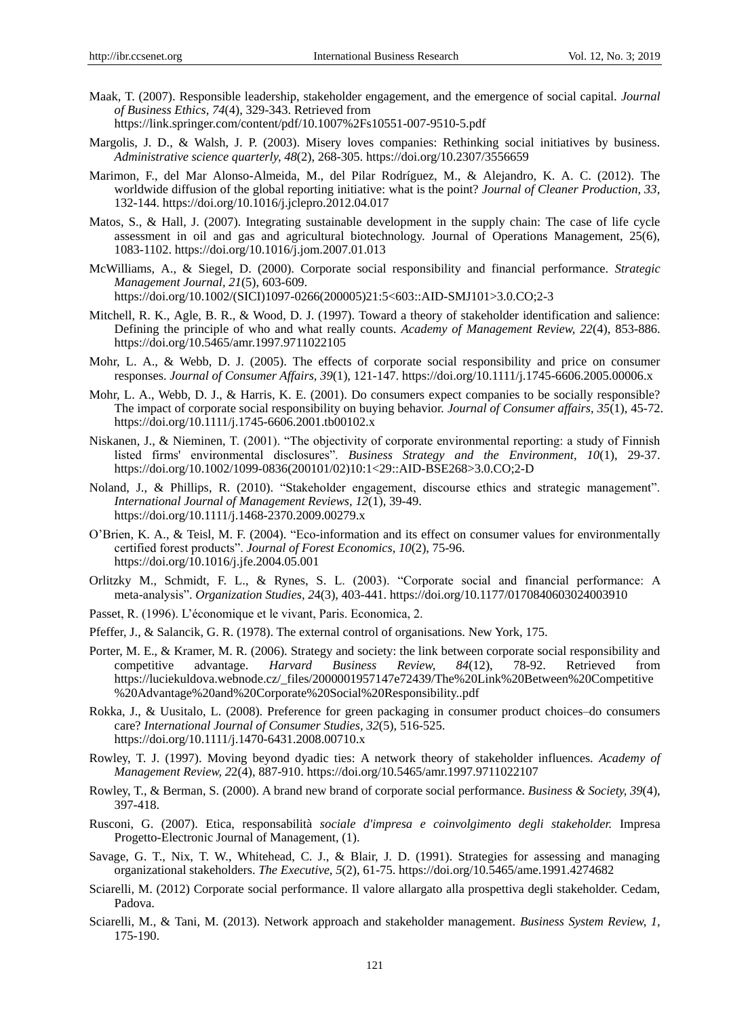- Maak, T. (2007). Responsible leadership, stakeholder engagement, and the emergence of social capital. *Journal of Business Ethics, 74*(4), 329-343. Retrieved from https://link.springer.com/content/pdf/10.1007%2Fs10551-007-9510-5.pdf
- Margolis, J. D., & Walsh, J. P. (2003). Misery loves companies: Rethinking social initiatives by business. *Administrative science quarterly, 48*(2), 268-305. [https://doi.org/10.2307/3556659](https://doi.org/10.2307%2F3556659)
- Marimon, F., del Mar Alonso-Almeida, M., del Pilar Rodr guez, M., & Alejandro, K. A. C. (2012). The worldwide diffusion of the global reporting initiative: what is the point? *Journal of Cleaner Production, 33,*  132-144. <https://doi.org/10.1016/j.jclepro.2012.04.017>
- Matos, S., & Hall, J. (2007). Integrating sustainable development in the supply chain: The case of life cycle assessment in oil and gas and agricultural biotechnology. Journal of Operations Management, 25(6), 1083-1102. <https://doi.org/10.1016/j.jom.2007.01.013>
- McWilliams, A., & Siegel, D. (2000). Corporate social responsibility and financial performance. *Strategic Management Journal, 21*(5), 603-609. [https://doi.org/10.1002/\(SICI\)1097-0266\(200005\)21:5<603::AID-SMJ101>3.0.CO;2-3](https://doi.org/10.1002/(SICI)1097-0266(200005)21:5%3C603::AID-SMJ101%3E3.0.CO;2-3)
- Mitchell, R. K., Agle, B. R., & Wood, D. J. (1997). Toward a theory of stakeholder identification and salience: Defining the principle of who and what really counts. *Academy of Management Review, 22*(4), 853-886.
- Mohr, L. A., & Webb, D. J. (2005). The effects of corporate social responsibility and price on consumer responses. *Journal of Consumer Affairs, 39*(1), 121-147. <https://doi.org/10.1111/j.1745-6606.2005.00006.x>
- Mohr, L. A., Webb, D. J., & Harris, K. E. (2001). Do consumers expect companies to be socially responsible? The impact of corporate social responsibility on buying behavior. *Journal of Consumer affairs, 35*(1), 45-72. <https://doi.org/10.1111/j.1745-6606.2001.tb00102.x>
- Niskanen, J., & Nieminen, T. (2001). "The objectivity of corporate environmental reporting: a study of Finnish listed firms' environmental disclosures". *Business Strategy and the Environment, 10*(1), 29-37. [https://doi.org/10.1002/1099-0836\(200101/02\)10:1<29::AID-BSE268>3.0.CO;2-D](https://doi.org/10.1002/1099-0836(200101/02)10:1%3C29::AID-BSE268%3E3.0.CO;2-D)
- Noland, J., & Phillips, R. (2010). "Stakeholder engagement, discourse ethics and strategic management". *International Journal of Management Reviews, 12*(1), 39-49. <https://doi.org/10.1111/j.1468-2370.2009.00279.x>
- O'Brien, K. A., & Teisl, M. F. (2004). "Eco-information and its effect on consumer values for environmentally certified forest products". *Journal of Forest Economics, 10*(2), 75-96. <https://doi.org/10.1016/j.jfe.2004.05.001>
- Orlitzky M., Schmidt, F. L., & Rynes, S. L. (2003). "Corporate social and financial performance: A meta-analysis". *Organization Studies, 2*4(3), 403-441. [https://doi.org/10.1177/0170840603024003910](https://doi.org/10.1177%2F0170840603024003910)
- Passet, R. (1996). L'économique et le vivant, Paris. Economica, 2.

<https://doi.org/10.5465/amr.1997.9711022105>

- Pfeffer, J., & Salancik, G. R. (1978). The external control of organisations. New York, 175.
- Porter, M. E., & Kramer, M. R. (2006). Strategy and society: the link between corporate social responsibility and competitive advantage. *Harvard Business Review, 84*(12), 78-92. Retrieved from https://luciekuldova.webnode.cz/\_files/2000001957147e72439/The%20Link%20Between%20Competitive %20Advantage%20and%20Corporate%20Social%20Responsibility..pdf
- Rokka, J., & Uusitalo, L. (2008). Preference for green packaging in consumer product choices–do consumers care? *International Journal of Consumer Studies, 32*(5), 516-525. <https://doi.org/10.1111/j.1470-6431.2008.00710.x>
- Rowley, T. J. (1997). Moving beyond dyadic ties: A network theory of stakeholder influences. *Academy of Management Review, 2*2(4), 887-910. <https://doi.org/10.5465/amr.1997.9711022107>
- Rowley, T., & Berman, S. (2000). A brand new brand of corporate social performance. *Business & Society, 39*(4), 397-418.
- Rusconi, G. (2007). Etica, responsabilità *sociale d'impresa e coinvolgimento degli stakeholder.* Impresa Progetto-Electronic Journal of Management, (1).
- Savage, G. T., Nix, T. W., Whitehead, C. J., & Blair, J. D. (1991). Strategies for assessing and managing organizational stakeholders. *The Executive, 5*(2), 61-75. <https://doi.org/10.5465/ame.1991.4274682>
- Sciarelli, M. (2012) Corporate social performance. Il valore allargato alla prospettiva degli stakeholder. Cedam, Padova.
- Sciarelli, M., & Tani, M. (2013). Network approach and stakeholder management. *Business System Review, 1,*  175-190.